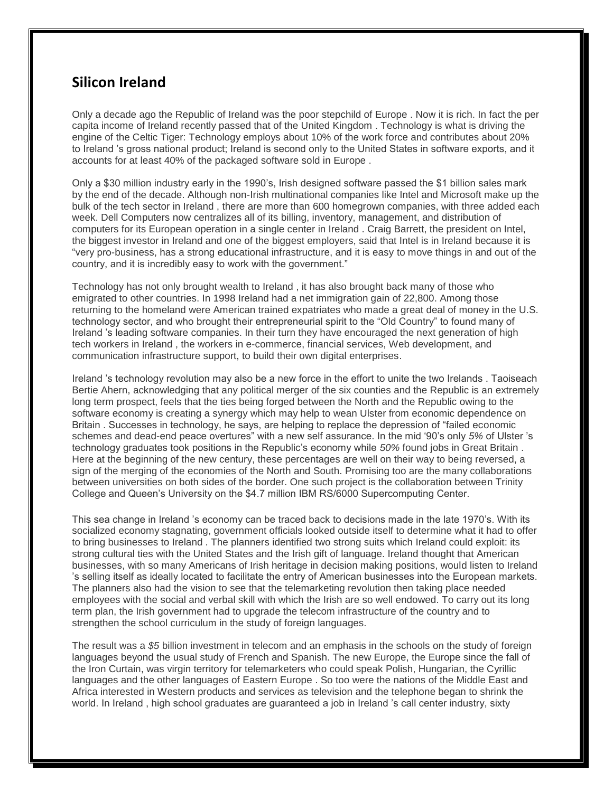## **Silicon Ireland**

Only a decade ago the Republic of Ireland was the poor stepchild of Europe . Now it is rich. In fact the per capita income of Ireland recently passed that of the United Kingdom . Technology is what is driving the engine of the Celtic Tiger: Technology employs about 10% of the work force and contributes about 20% to Ireland 's gross national product; Ireland is second only to the United States in software exports, and it accounts for at least 40% of the packaged software sold in Europe .

Only a \$30 million industry early in the 1990's, Irish designed software passed the \$1 billion sales mark by the end of the decade. Although non-Irish multinational companies like Intel and Microsoft make up the bulk of the tech sector in Ireland , there are more than 600 homegrown companies, with three added each week. Dell Computers now centralizes all of its billing, inventory, management, and distribution of computers for its European operation in a single center in Ireland . Craig Barrett, the president on Intel, the biggest investor in Ireland and one of the biggest employers, said that Intel is in Ireland because it is "very pro-business, has a strong educational infrastructure, and it is easy to move things in and out of the country, and it is incredibly easy to work with the government."

Technology has not only brought wealth to Ireland , it has also brought back many of those who emigrated to other countries. In 1998 Ireland had a net immigration gain of 22,800. Among those returning to the homeland were American trained expatriates who made a great deal of money in the U.S. technology sector, and who brought their entrepreneurial spirit to the "Old Country" to found many of Ireland 's leading software companies. In their turn they have encouraged the next generation of high tech workers in Ireland , the workers in e-commerce, financial services, Web development, and communication infrastructure support, to build their own digital enterprises.

Ireland 's technology revolution may also be a new force in the effort to unite the two Irelands . Taoiseach Bertie Ahern, acknowledging that any political merger of the six counties and the Republic is an extremely long term prospect, feels that the ties being forged between the North and the Republic owing to the software economy is creating a synergy which may help to wean Ulster from economic dependence on Britain . Successes in technology, he says, are helping to replace the depression of "failed economic schemes and dead-end peace overtures" with a new self assurance. In the mid '90's only *5%* of Ulster 's technology graduates took positions in the Republic's economy while *50%* found jobs in Great Britain . Here at the beginning of the new century, these percentages are well on their way to being reversed, a sign of the merging of the economies of the North and South. Promising too are the many collaborations between universities on both sides of the border. One such project is the collaboration between Trinity College and Queen's University on the \$4.7 million IBM RS/6000 Supercomputing Center.

This sea change in Ireland 's economy can be traced back to decisions made in the late 1970's. With its socialized economy stagnating, government officials looked outside itself to determine what it had to offer to bring businesses to Ireland . The planners identified two strong suits which Ireland could exploit: its strong cultural ties with the United States and the Irish gift of language. Ireland thought that American businesses, with so many Americans of Irish heritage in decision making positions, would listen to Ireland 's selling itself as ideally located to facilitate the entry of American businesses into the European markets. The planners also had the vision to see that the telemarketing revolution then taking place needed employees with the social and verbal skill with which the Irish are so well endowed. To carry out its long term plan, the Irish government had to upgrade the telecom infrastructure of the country and to strengthen the school curriculum in the study of foreign languages.

The result was a *\$5* billion investment in telecom and an emphasis in the schools on the study of foreign languages beyond the usual study of French and Spanish. The new Europe, the Europe since the fall of the Iron Curtain, was virgin territory for telemarketers who could speak Polish, Hungarian, the Cyrillic languages and the other languages of Eastern Europe . So too were the nations of the Middle East and Africa interested in Western products and services as television and the telephone began to shrink the world. In Ireland , high school graduates are guaranteed a job in Ireland 's call center industry, sixty